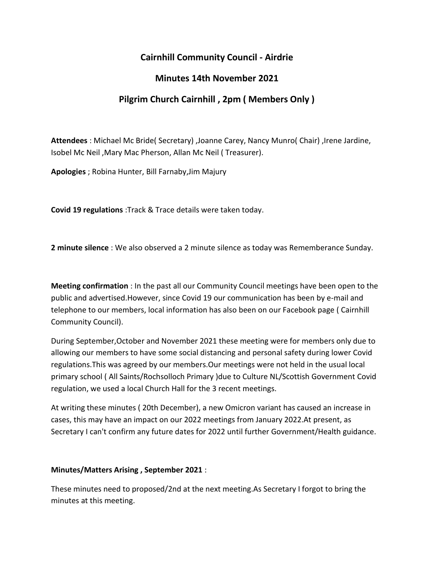## **Cairnhill Community Council - Airdrie**

## **Minutes 14th November 2021**

# **Pilgrim Church Cairnhill , 2pm ( Members Only )**

**Attendees** : Michael Mc Bride( Secretary) ,Joanne Carey, Nancy Munro( Chair) ,Irene Jardine, Isobel Mc Neil ,Mary Mac Pherson, Allan Mc Neil ( Treasurer).

**Apologies** ; Robina Hunter, Bill Farnaby,Jim Majury

**Covid 19 regulations** :Track & Trace details were taken today.

**2 minute silence** : We also observed a 2 minute silence as today was Rememberance Sunday.

**Meeting confirmation** : In the past all our Community Council meetings have been open to the public and advertised.However, since Covid 19 our communication has been by e-mail and telephone to our members, local information has also been on our Facebook page ( Cairnhill Community Council).

During September,October and November 2021 these meeting were for members only due to allowing our members to have some social distancing and personal safety during lower Covid regulations.This was agreed by our members.Our meetings were not held in the usual local primary school ( All Saints/Rochsolloch Primary )due to Culture NL/Scottish Government Covid regulation, we used a local Church Hall for the 3 recent meetings.

At writing these minutes ( 20th December), a new Omicron variant has caused an increase in cases, this may have an impact on our 2022 meetings from January 2022.At present, as Secretary I can't confirm any future dates for 2022 until further Government/Health guidance.

### **Minutes/Matters Arising , September 2021** :

These minutes need to proposed/2nd at the next meeting.As Secretary I forgot to bring the minutes at this meeting.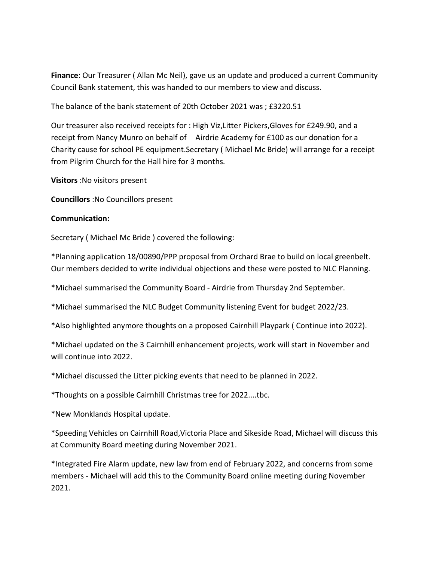**Finance**: Our Treasurer ( Allan Mc Neil), gave us an update and produced a current Community Council Bank statement, this was handed to our members to view and discuss.

The balance of the bank statement of 20th October 2021 was ; £3220.51

Our treasurer also received receipts for : High Viz,Litter Pickers,Gloves for £249.90, and a receipt from Nancy Munro on behalf of Airdrie Academy for £100 as our donation for a Charity cause for school PE equipment.Secretary ( Michael Mc Bride) will arrange for a receipt from Pilgrim Church for the Hall hire for 3 months.

**Visitors** :No visitors present

**Councillors** :No Councillors present

#### **Communication:**

Secretary ( Michael Mc Bride ) covered the following:

\*Planning application 18/00890/PPP proposal from Orchard Brae to build on local greenbelt. Our members decided to write individual objections and these were posted to NLC Planning.

\*Michael summarised the Community Board - Airdrie from Thursday 2nd September.

\*Michael summarised the NLC Budget Community listening Event for budget 2022/23.

\*Also highlighted anymore thoughts on a proposed Cairnhill Playpark ( Continue into 2022).

\*Michael updated on the 3 Cairnhill enhancement projects, work will start in November and will continue into 2022.

\*Michael discussed the Litter picking events that need to be planned in 2022.

\*Thoughts on a possible Cairnhill Christmas tree for 2022....tbc.

\*New Monklands Hospital update.

\*Speeding Vehicles on Cairnhill Road,Victoria Place and Sikeside Road, Michael will discuss this at Community Board meeting during November 2021.

\*Integrated Fire Alarm update, new law from end of February 2022, and concerns from some members - Michael will add this to the Community Board online meeting during November 2021.